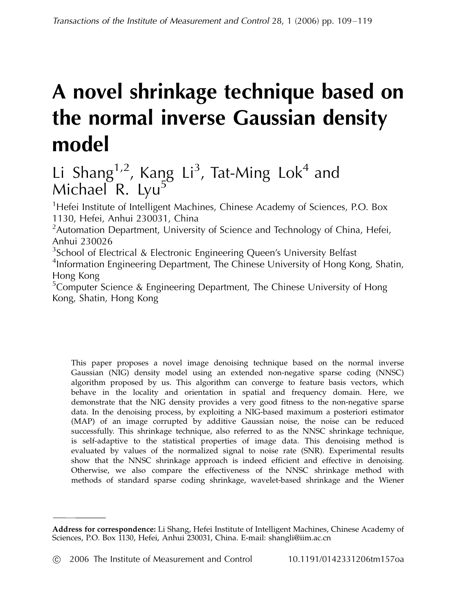# A novel shrinkage technique based on the normal inverse Gaussian density model

# Li Shang<sup>1,2</sup>, Kang Li<sup>3</sup>, Tat-Ming Lok<sup>4</sup> and Michael R. Lyu<sup>5</sup>

<sup>1</sup>Hefei Institute of Intelligent Machines, Chinese Academy of Sciences, P.O. Box 1130, Hefei, Anhui 230031, China <sup>2</sup> Automation Department, University of Science and Technology of China, Hefei, Anhui 230026 <sup>3</sup>School of Electrical & Electronic Engineering Queen's University Belfast

<sup>4</sup>Information Engineering Department, The Chinese University of Hong Kong, Shatin, Hong Kong

<sup>5</sup>Computer Science & Engineering Department, The Chinese University of Hong Kong, Shatin, Hong Kong

This paper proposes a novel image denoising technique based on the normal inverse Gaussian (NIG) density model using an extended non-negative sparse coding (NNSC) algorithm proposed by us. This algorithm can converge to feature basis vectors, which behave in the locality and orientation in spatial and frequency domain. Here, we demonstrate that the NIG density provides a very good fitness to the non-negative sparse data. In the denoising process, by exploiting a NIG-based maximum a posteriori estimator (MAP) of an image corrupted by additive Gaussian noise, the noise can be reduced successfully. This shrinkage technique, also referred to as the NNSC shrinkage technique, is self-adaptive to the statistical properties of image data. This denoising method is evaluated by values of the normalized signal to noise rate (SNR). Experimental results show that the NNSC shrinkage approach is indeed efficient and effective in denoising. Otherwise, we also compare the effectiveness of the NNSC shrinkage method with methods of standard sparse coding shrinkage, wavelet-based shrinkage and the Wiener

Address for correspondence: Li Shang, Hefei Institute of Intelligent Machines, Chinese Academy of Sciences, P.O. Box 1130, Hefei, Anhui 230031, China. E-mail: shangli@iim.ac.cn

<sup>–</sup> 2006 The Institute of Measurement and Control 10.1191/0142331206tm157oa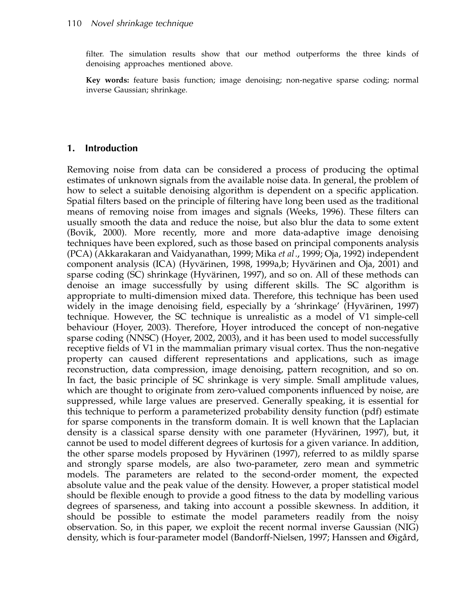filter. The simulation results show that our method outperforms the three kinds of denoising approaches mentioned above.

Key words: feature basis function; image denoising; non-negative sparse coding; normal inverse Gaussian; shrinkage.

## 1. Introduction

Removing noise from data can be considered a process of producing the optimal estimates of unknown signals from the available noise data. In general, the problem of how to select a suitable denoising algorithm is dependent on a specific application. Spatial filters based on the principle of filtering have long been used as the traditional means of removing noise from images and signals (Weeks, 1996). These filters can usually smooth the data and reduce the noise, but also blur the data to some extent (Bovik, 2000). More recently, more and more data-adaptive image denoising techniques have been explored, such as those based on principal components analysis (PCA) (Akkarakaran and Vaidyanathan, 1999; Mika et al., 1999; Oja, 1992) independent component analysis (ICA) (Hyvärinen, 1998, 1999a,b; Hyvärinen and Oja, 2001) and sparse coding (SC) shrinkage (Hyvärinen, 1997), and so on. All of these methods can denoise an image successfully by using different skills. The SC algorithm is appropriate to multi-dimension mixed data. Therefore, this technique has been used widely in the image denoising field, especially by a 'shrinkage' (Hyvärinen, 1997) technique. However, the SC technique is unrealistic as a model of V1 simple-cell behaviour (Hoyer, 2003). Therefore, Hoyer introduced the concept of non-negative sparse coding (NNSC) (Hoyer, 2002, 2003), and it has been used to model successfully receptive fields of V1 in the mammalian primary visual cortex. Thus the non-negative property can caused different representations and applications, such as image reconstruction, data compression, image denoising, pattern recognition, and so on. In fact, the basic principle of SC shrinkage is very simple. Small amplitude values, which are thought to originate from zero-valued components influenced by noise, are suppressed, while large values are preserved. Generally speaking, it is essential for this technique to perform a parameterized probability density function (pdf) estimate for sparse components in the transform domain. It is well known that the Laplacian density is a classical sparse density with one parameter (Hyvärinen, 1997), but, it cannot be used to model different degrees of kurtosis for a given variance. In addition, the other sparse models proposed by Hyvärinen (1997), referred to as mildly sparse and strongly sparse models, are also two-parameter, zero mean and symmetric models. The parameters are related to the second-order moment, the expected absolute value and the peak value of the density. However, a proper statistical model should be flexible enough to provide a good fitness to the data by modelling various degrees of sparseness, and taking into account a possible skewness. In addition, it should be possible to estimate the model parameters readily from the noisy observation. So, in this paper, we exploit the recent normal inverse Gaussian (NIG) density, which is four-parameter model (Bandorff-Nielsen, 1997; Hanssen and Øigård,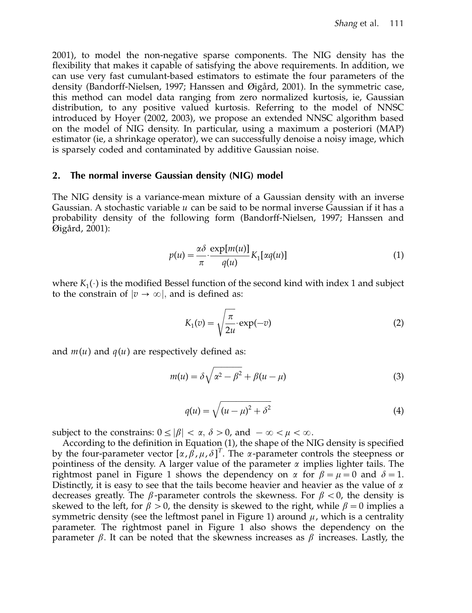2001), to model the non-negative sparse components. The NIG density has the flexibility that makes it capable of satisfying the above requirements. In addition, we can use very fast cumulant-based estimators to estimate the four parameters of the density (Bandorff-Nielsen, 1997; Hanssen and Øigård, 2001). In the symmetric case, this method can model data ranging from zero normalized kurtosis, ie, Gaussian distribution, to any positive valued kurtosis. Referring to the model of NNSC introduced by Hoyer (2002, 2003), we propose an extended NNSC algorithm based on the model of NIG density. In particular, using a maximum a posteriori (MAP) estimator (ie, a shrinkage operator), we can successfully denoise a noisy image, which is sparsely coded and contaminated by additive Gaussian noise.

# 2. The normal inverse Gaussian density (NIG) model

The NIG density is a variance-mean mixture of a Gaussian density with an inverse Gaussian. A stochastic variable  $u$  can be said to be normal inverse Gaussian if it has a probability density of the following form (Bandorff-Nielsen, 1997; Hanssen and Øigård, 2001):

$$
p(u) = \frac{\alpha \delta}{\pi} \cdot \frac{\exp[m(u)]}{q(u)} K_1[\alpha q(u)] \tag{1}
$$

where  $K_1(\cdot)$  is the modified Bessel function of the second kind with index 1 and subject to the constrain of  $|v \to \infty|$ , and is defined as:

$$
K_1(v) = \sqrt{\frac{\pi}{2u}} \cdot \exp(-v)
$$
 (2)

and  $m(u)$  and  $q(u)$  are respectively defined as:

$$
m(u) = \delta \sqrt{\alpha^2 - \beta^2} + \beta(u - \mu)
$$
 (3)

$$
q(u) = \sqrt{(u - \mu)^2 + \delta^2} \tag{4}
$$

subject to the constrains:  $0 \leq |\beta| < \alpha$ ,  $\delta > 0$ , and  $-\infty < \mu < \infty$ .

According to the definition in Equation (1), the shape of the NIG density is specified by the four-parameter vector  $[\alpha, \beta, \mu, \delta]^T$ . The *x*-parameter controls the steepness or pointiness of the density. A larger value of the parameter  $\alpha$  implies lighter tails. The rightmost panel in Figure 1 shows the dependency on  $\alpha$  for  $\beta = \mu = 0$  and  $\delta = 1$ . Distinctly, it is easy to see that the tails become heavier and heavier as the value of  $\alpha$ decreases greatly. The  $\beta$ -parameter controls the skewness. For  $\beta < 0$ , the density is skewed to the left, for  $\beta > 0$ , the density is skewed to the right, while  $\beta = 0$  implies a symmetric density (see the leftmost panel in Figure 1) around  $\mu$ , which is a centrality parameter. The rightmost panel in Figure 1 also shows the dependency on the parameter  $\beta$ . It can be noted that the skewness increases as  $\beta$  increases. Lastly, the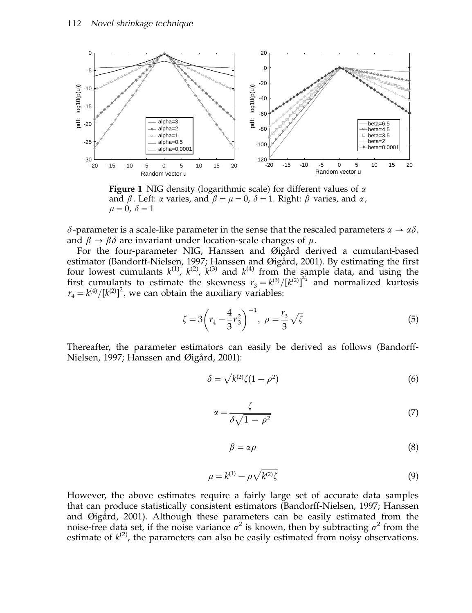

**Figure 1** NIG density (logarithmic scale) for different values of  $\alpha$ and  $\beta$ . Left:  $\alpha$  varies, and  $\beta = \mu = 0$ ,  $\delta = 1$ . Right:  $\beta$  varies, and  $\alpha$ ,  $\mu = 0, \ \delta = 1$ 

 $\delta$ -parameter is a scale-like parameter in the sense that the rescaled parameters  $\alpha \to \alpha \delta$ , and  $\beta \rightarrow \beta \delta$  are invariant under location-scale changes of  $\mu$ .

For the four-parameter NIG, Hanssen and Øigård derived a cumulant-based estimator (Bandorff-Nielsen, 1997; Hanssen and Øigård, 2001). By estimating the first four lowest cumulants  $k^{(1)}$ ,  $k^{(2)}$ ,  $k^{(3)}$  and  $k^{(4)}$  from the sample data, and using the first cumulants to estimate the skewness  $r_3 = k^{(3)}/[k^{(2)}]^{\frac{3}{2}}$  and normalized kurtosis  $r_4 = k^{(4)}/[k^{(2)}]^2$ , we can obtain the auxiliary variables:

$$
\zeta = 3\left(r_4 - \frac{4}{3}r_3^2\right)^{-1}, \ \rho = \frac{r_3}{3}\sqrt{\zeta} \tag{5}
$$

Thereafter, the parameter estimators can easily be derived as follows (Bandorff-Nielsen, 1997; Hanssen and Øigård, 2001):

$$
\delta = \sqrt{k^{(2)}\zeta(1-\rho^2)}\tag{6}
$$

$$
\alpha = \frac{\zeta}{\delta\sqrt{1-\rho^2}}\tag{7}
$$

$$
\beta = \alpha \rho \tag{8}
$$

$$
\mu = k^{(1)} - \rho \sqrt{k^{(2)}\zeta} \tag{9}
$$

However, the above estimates require a fairly large set of accurate data samples that can produce statistically consistent estimators (Bandorff-Nielsen, 1997; Hanssen and Øigård, 2001). Although these parameters can be easily estimated from the noise-free data set, if the noise variance  $\sigma^2$  is known, then by subtracting  $\sigma^2$  from the estimate of  $k^{(2)}$ , the parameters can also be easily estimated from noisy observations.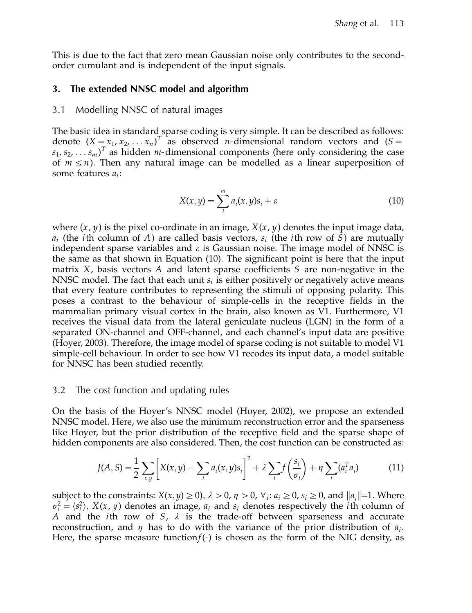This is due to the fact that zero mean Gaussian noise only contributes to the secondorder cumulant and is independent of the input signals.

## 3. The extended NNSC model and algorithm

#### 3.1 Modelling NNSC of natural images

The basic idea in standard sparse coding is very simple. It can be described as follows: denote  $(X = x_1, x_2, ..., x_n)^T$  as observed *n*-dimensional random vectors and  $(S = x_1, X_2, ..., X_n)^T$  $(s_1, s_2, \ldots s_m)^T$  as hidden m-dimensional components (here only considering the case of  $m \le n$ ). Then any natural image can be modelled as a linear superposition of some features  $a_i$ :

$$
X(x, y) = \sum_{i}^{m} a_i(x, y)s_i + \varepsilon
$$
\n(10)

where  $(x, y)$  is the pixel co-ordinate in an image,  $X(x, y)$  denotes the input image data,  $a_i$  (the *i*th column of A) are called basis vectors,  $s_i$  (the *i*th row of S) are mutually independent sparse variables and  $\varepsilon$  is Gaussian noise. The image model of NNSC is the same as that shown in Equation (10). The significant point is here that the input matrix  $X$ , basis vectors  $A$  and latent sparse coefficients  $S$  are non-negative in the NNSC model. The fact that each unit  $s_i$  is either positively or negatively active means that every feature contributes to representing the stimuli of opposing polarity. This poses a contrast to the behaviour of simple-cells in the receptive fields in the mammalian primary visual cortex in the brain, also known as V1. Furthermore, V1 receives the visual data from the lateral geniculate nucleus (LGN) in the form of a separated ON-channel and OFF-channel, and each channel's input data are positive (Hoyer, 2003). Therefore, the image model of sparse coding is not suitable to model V1 simple-cell behaviour. In order to see how V1 recodes its input data, a model suitable for NNSC has been studied recently.

#### 3.2 The cost function and updating rules

On the basis of the Hoyer's NNSC model (Hoyer, 2002), we propose an extended NNSC model. Here, we also use the minimum reconstruction error and the sparseness like Hoyer, but the prior distribution of the receptive field and the sparse shape of hidden components are also considered. Then, the cost function can be constructed as:

$$
J(A, S) = \frac{1}{2} \sum_{x, y} \left[ X(x, y) - \sum_{i} a_i(x, y) s_i \right]^2 + \lambda \sum_{i} f \left( \frac{s_i}{\sigma_i} \right) + \eta \sum_{i} (a_i^T a_i)
$$
(11)

subject to the constraints:  $X(x, y) \ge 0$ ,  $\lambda > 0$ ,  $\eta > 0$ ,  $\forall$ <sub>i</sub>:  $a_i \ge 0$ ,  $s_i \ge 0$ , and  $||a_i||=1$ . Where  $\sigma_i^2 = \langle s_i^2 \rangle$ ,  $X(x, y)$  denotes an image,  $a_i$  and  $s_i$  denotes respectively the *i*th column of A and the *i*th row of S,  $\lambda$  is the trade-off between sparseness and accurate reconstruction, and  $\eta$  has to do with the variance of the prior distribution of  $a_i$ . Here, the sparse measure function  $f(\cdot)$  is chosen as the form of the NIG density, as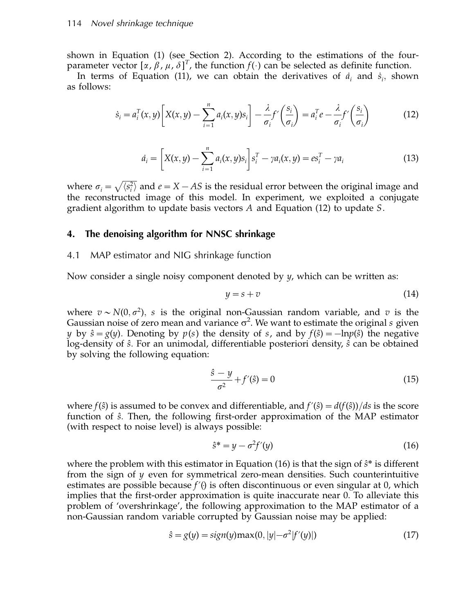shown in Equation (1) (see Section 2). According to the estimations of the fourparameter vector  $[\alpha, \beta, \mu, \delta]^T$ , the function  $f(\cdot)$  can be selected as definite function.

In terms of Equation (11), we can obtain the derivatives of  $\dot{a}_i$  and  $\dot{s}_i$ , shown as follows:

$$
\dot{s}_i = a_i^T(x, y) \left[ X(x, y) - \sum_{i=1}^n a_i(x, y) s_i \right] - \frac{\lambda}{\sigma_i} f' \left( \frac{s_i}{\sigma_i} \right) = a_i^T e - \frac{\lambda}{\sigma_i} f' \left( \frac{s_i}{\sigma_i} \right) \tag{12}
$$

$$
\dot{a}_i = \left[ X(x, y) - \sum_{i=1}^n a_i(x, y) s_i \right] s_i^T - \gamma a_i(x, y) = e s_i^T - \gamma a_i \tag{13}
$$

where  $\sigma_i = \sqrt{\langle s_i^2 \rangle}$  and  $e = X - AS$  is the residual error between the original image and the reconstructed image of this model. In experiment, we exploited a conjugate gradient algorithm to update basis vectors A and Equation (12) to update S.

# 4. The denoising algorithm for NNSC shrinkage

#### 4.1 MAP estimator and NIG shrinkage function

Now consider a single noisy component denoted by  $y$ , which can be written as:

$$
y = s + v \tag{14}
$$

where  $v \sim N(0, \sigma^2)$ , s is the original non-Gaussian random variable, and v is the Gaussian noise of zero mean and variance  $\sigma^2$ . We want to estimate the original s given y by  $\hat{s} = g(y)$ . Denoting by  $p(s)$  the density of s, and by  $f(\hat{s}) = -\ln p(\hat{s})$  the negative log-density of  $\hat{s}$ . For an unimodal, differentiable posteriori density,  $\hat{s}$  can be obtained by solving the following equation:

$$
\frac{\hat{s} - y}{\sigma^2} + f'(\hat{s}) = 0\tag{15}
$$

where  $f(\hat{s})$  is assumed to be convex and differentiable, and  $f'(\hat{s}) = d(f(\hat{s}))/ds$  is the score function of  $\hat{s}$ . Then, the following first-order approximation of the MAP estimator (with respect to noise level) is always possible:

$$
\hat{s}^* = y - \sigma^2 f'(y) \tag{16}
$$

where the problem with this estimator in Equation (16) is that the sign of  $\hat{s}^*$  is different from the sign of  $y$  even for symmetrical zero-mean densities. Such counterintuitive estimates are possible because  $f'(\cdot)$  is often discontinuous or even singular at 0, which implies that the first-order approximation is quite inaccurate near 0. To alleviate this problem of 'overshrinkage', the following approximation to the MAP estimator of a non-Gaussian random variable corrupted by Gaussian noise may be applied:

$$
\hat{s} = g(y) = sign(y) \max(0, |y| - \sigma^2 |f'(y)|)
$$
\n(17)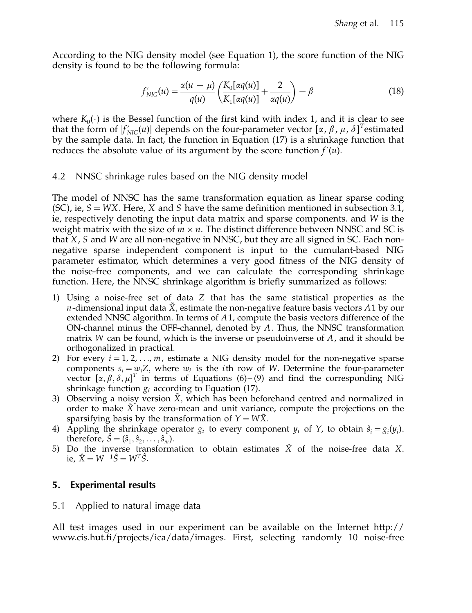According to the NIG density model (see Equation 1), the score function of the NIG density is found to be the following formula:

$$
f'_{\text{NIG}}(u) = \frac{\alpha(u - \mu)}{q(u)} \left( \frac{K_0[\alpha q(u)]}{K_1[\alpha q(u)]} + \frac{2}{\alpha q(u)} \right) - \beta \tag{18}
$$

where  $K_0(\cdot)$  is the Bessel function of the first kind with index 1, and it is clear to see that the form of  $|f'_{NIG}(u)|$  depends on the four-parameter vector  $[\alpha, \beta, \mu, \delta]^T$  estimated by the sample data. In fact, the function in Equation (17) is a shrinkage function that reduces the absolute value of its argument by the score function  $f'(u)$ .

# 4.2 NNSC shrinkage rules based on the NIG density model

The model of NNSC has the same transformation equation as linear sparse coding  $(SC)$ , ie,  $S = WX$ . Here, X and S have the same definition mentioned in subsection 3.1, ie, respectively denoting the input data matrix and sparse components. and W is the weight matrix with the size of  $m \times n$ . The distinct difference between NNSC and SC is that  $X$ ,  $S$  and  $W$  are all non-negative in NNSC, but they are all signed in SC. Each nonnegative sparse independent component is input to the cumulant-based NIG parameter estimator, which determines a very good fitness of the NIG density of the noise-free components, and we can calculate the corresponding shrinkage function. Here, the NNSC shrinkage algorithm is briefly summarized as follows:

- 1) Using a noise-free set of data Z that has the same statistical properties as the *n*-dimensional input data  $\tilde{X}$ , estimate the non-negative feature basis vectors A1 by our extended NNSC algorithm. In terms of A1, compute the basis vectors difference of the ON-channel minus the OFF-channel, denoted by  $A$ . Thus, the NNSC transformation matrix  $W$  can be found, which is the inverse or pseudoinverse of  $A$ , and it should be orthogonalized in practical.
- 2) For every  $i = 1, 2, \ldots, m$ , estimate a NIG density model for the non-negative sparse components  $s_i = w_i Z$ , where  $w_i$  is the *i*th row of W. Determine the four-parameter vector  $[\alpha, \beta, \delta, \mu]^T$  in terms of Equations (6)–(9) and find the corresponding NIG shrinkage function  $g_i$  according to Equation (17).
- 3) Observing a noisy version  $\tilde{X}$ , which has been beforehand centred and normalized in order to make X˜ have zero-mean and unit variance, compute the projections on the sparsifying basis by the transformation of  $Y = W\tilde{X}$ .
- 4) Appling the shrinkage operator  $g_i$  to every component  $y_i$  of  $Y$ , to obtain  $\hat{s}_i = g_i(y_i)$ , therefore,  $\hat{S} = (\hat{s}_1, \hat{s}_2, \dots, \hat{s}_m)$ .
- 5) Do the inverse transformation to obtain estimates  $\hat{X}$  of the noise-free data X, ie,  $\hat{X} = W^{-1}\hat{S} = W^{T}\hat{S}$ .

# 5. Experimental results

# 5.1 Applied to natural image data

All test images used in our experiment can be available on the Internet http:// www.cis.hut.fi/projects/ica/data/images. First, selecting randomly 10 noise-free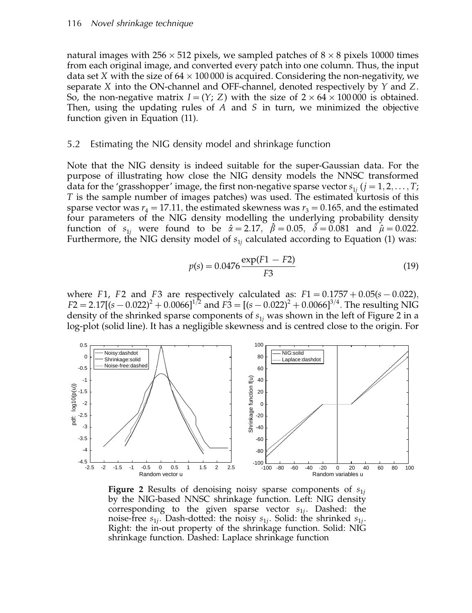natural images with  $256\times512$  pixels, we sampled patches of  $8\times8$  pixels 10000 times from each original image, and converted every patch into one column. Thus, the input data set X with the size of  $64 \times 100\,000$  is acquired. Considering the non-negativity, we separate  $X$  into the ON-channel and OFF-channel, denoted respectively by  $Y$  and  $Z$ . So, the non-negative matrix  $I = (Y; Z)$  with the size of  $2 \times 64 \times 100\,000$  is obtained. Then, using the updating rules of  $A$  and  $S$  in turn, we minimized the objective function given in Equation (11).

# 5.2 Estimating the NIG density model and shrinkage function

Note that the NIG density is indeed suitable for the super-Gaussian data. For the purpose of illustrating how close the NIG density models the NNSC transformed data for the 'grasshopper' image, the first non-negative sparse vector  $s_{1j}$   $(j = 1, 2, \ldots, T;$  $T$  is the sample number of images patches) was used. The estimated kurtosis of this sparse vector was  $r_4 = 17.11$ , the estimated skewness was  $r_3 = 0.165$ , and the estimated four parameters of the NIG density modelling the underlying probability density function of  $s_{1j}$  were found to be  $\hat{\alpha} = 2.17$ ,  $\hat{\beta} = 0.05$ ,  $\hat{\delta} = 0.081$  and  $\hat{\mu} = 0.022$ . Furthermore, the NIG density model of  $s_{1i}$  calculated according to Equation (1) was:

$$
p(s) = 0.0476 \frac{\exp(F1 - F2)}{F3}
$$
 (19)

where F1, F2 and F3 are respectively calculated as:  $F1 = 0.1757 + 0.05(s - 0.022)$ ,  $F2 = 2.17[(s - 0.022)^{2} + 0.0066]^{1/2}$  and  $F3 = [(s - 0.022)^{2} + 0.0066]^{3/4}$ . The resulting NIG density of the shrinked sparse components of  $s_{1i}$  was shown in the left of Figure 2 in a log-plot (solid line). It has a negligible skewness and is centred close to the origin. For



**Figure 2** Results of denoising noisy sparse components of  $s_{1j}$ by the NIG-based NNSC shrinkage function. Left: NIG density corresponding to the given sparse vector  $s_{1i}$ . Dashed: the noise-free  $s_{1i}$ . Dash-dotted: the noisy  $s_{1i}$ . Solid: the shrinked  $s_{1i}$ . Right: the in-out property of the shrinkage function. Solid: NIG shrinkage function. Dashed: Laplace shrinkage function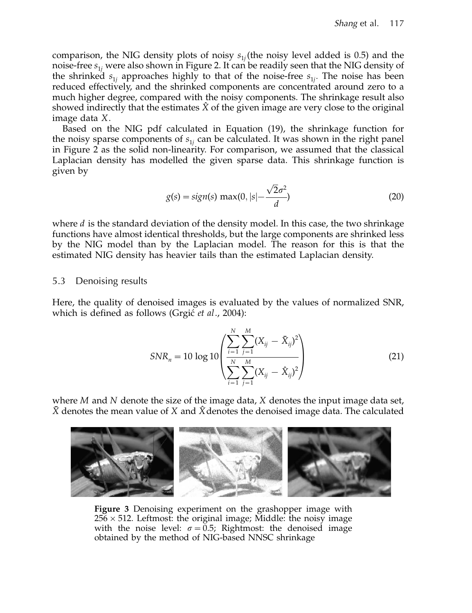comparison, the NIG density plots of noisy  $s_{1i}$ (the noisy level added is 0.5) and the noise-free  $s_{1i}$  were also shown in Figure 2. It can be readily seen that the NIG density of the shrinked  $s_{1j}$  approaches highly to that of the noise-free  $s_{1j}$ . The noise has been reduced effectively, and the shrinked components are concentrated around zero to a much higher degree, compared with the noisy components. The shrinkage result also showed indirectly that the estimates  $\hat{X}$  of the given image are very close to the original image data X.

Based on the NIG pdf calculated in Equation (19), the shrinkage function for the noisy sparse components of  $s_{1i}$  can be calculated. It was shown in the right panel in Figure 2 as the solid non-linearity. For comparison, we assumed that the classical Laplacian density has modelled the given sparse data. This shrinkage function is given by

$$
g(s) = sign(s) \, \max(0, |s| - \frac{\sqrt{2}\sigma^2}{d}) \tag{20}
$$

where  $d$  is the standard deviation of the density model. In this case, the two shrinkage functions have almost identical thresholds, but the large components are shrinked less by the NIG model than by the Laplacian model. The reason for this is that the estimated NIG density has heavier tails than the estimated Laplacian density.

# 5.3 Denoising results

Here, the quality of denoised images is evaluated by the values of normalized SNR, which is defined as follows (Grgić et al., 2004):

$$
SNR_n = 10 \log 10 \left( \frac{\sum_{i=1}^{N} \sum_{j=1}^{M} (X_{ij} - \bar{X}_{ij})^2}{\sum_{i=1}^{N} \sum_{j=1}^{M} (X_{ij} - \hat{X}_{ij})^2} \right)
$$
(21)

where  $M$  and  $N$  denote the size of the image data,  $X$  denotes the input image data set,  $\bar{X}$  denotes the mean value of X and  $\hat{X}$  denotes the denoised image data. The calculated



Figure 3 Denoising experiment on the grashopper image with  $256 \times 512$ . Leftmost: the original image; Middle: the noisy image with the noise level:  $\sigma = 0.5$ ; Rightmost: the denoised image obtained by the method of NIG-based NNSC shrinkage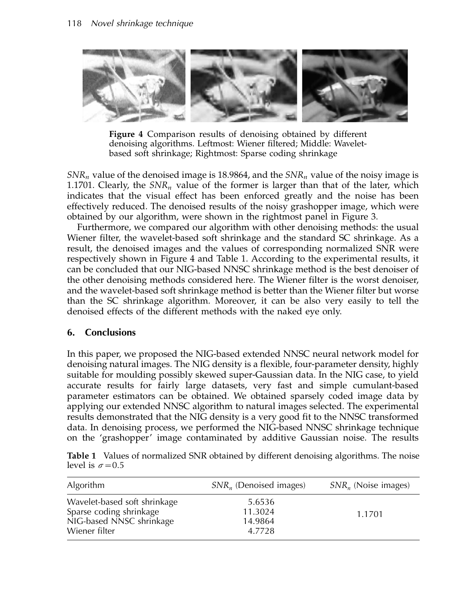

Figure 4 Comparison results of denoising obtained by different denoising algorithms. Leftmost: Wiener filtered; Middle: Waveletbased soft shrinkage; Rightmost: Sparse coding shrinkage

 $SNR_n$  value of the denoised image is 18.9864, and the  $SNR_n$  value of the noisy image is 1.1701. Clearly, the  $SNR_n$  value of the former is larger than that of the later, which indicates that the visual effect has been enforced greatly and the noise has been effectively reduced. The denoised results of the noisy grashopper image, which were obtained by our algorithm, were shown in the rightmost panel in Figure 3.

Furthermore, we compared our algorithm with other denoising methods: the usual Wiener filter, the wavelet-based soft shrinkage and the standard SC shrinkage. As a result, the denoised images and the values of corresponding normalized SNR were respectively shown in Figure 4 and Table 1. According to the experimental results, it can be concluded that our NIG-based NNSC shrinkage method is the best denoiser of the other denoising methods considered here. The Wiener filter is the worst denoiser, and the wavelet-based soft shrinkage method is better than the Wiener filter but worse than the SC shrinkage algorithm. Moreover, it can be also very easily to tell the denoised effects of the different methods with the naked eye only.

# 6. Conclusions

In this paper, we proposed the NIG-based extended NNSC neural network model for denoising natural images. The NIG density is a flexible, four-parameter density, highly suitable for moulding possibly skewed super-Gaussian data. In the NIG case, to yield accurate results for fairly large datasets, very fast and simple cumulant-based parameter estimators can be obtained. We obtained sparsely coded image data by applying our extended NNSC algorithm to natural images selected. The experimental results demonstrated that the NIG density is a very good fit to the NNSC transformed data. In denoising process, we performed the NIG-based NNSC shrinkage technique on the 'grashopper' image contaminated by additive Gaussian noise. The results

|                         |  | Table 1 Values of normalized SNR obtained by different denoising algorithms. The noise |  |
|-------------------------|--|----------------------------------------------------------------------------------------|--|
| level is $\sigma$ = 0.5 |  |                                                                                        |  |

| Algorithm                                                                                            | $SNR_n$ (Denoised images)              | $SNR_n$ (Noise images) |
|------------------------------------------------------------------------------------------------------|----------------------------------------|------------------------|
| Wavelet-based soft shrinkage<br>Sparse coding shrinkage<br>NIG-based NNSC shrinkage<br>Wiener filter | 5.6536<br>11.3024<br>14.9864<br>4.7728 | 1.1701                 |